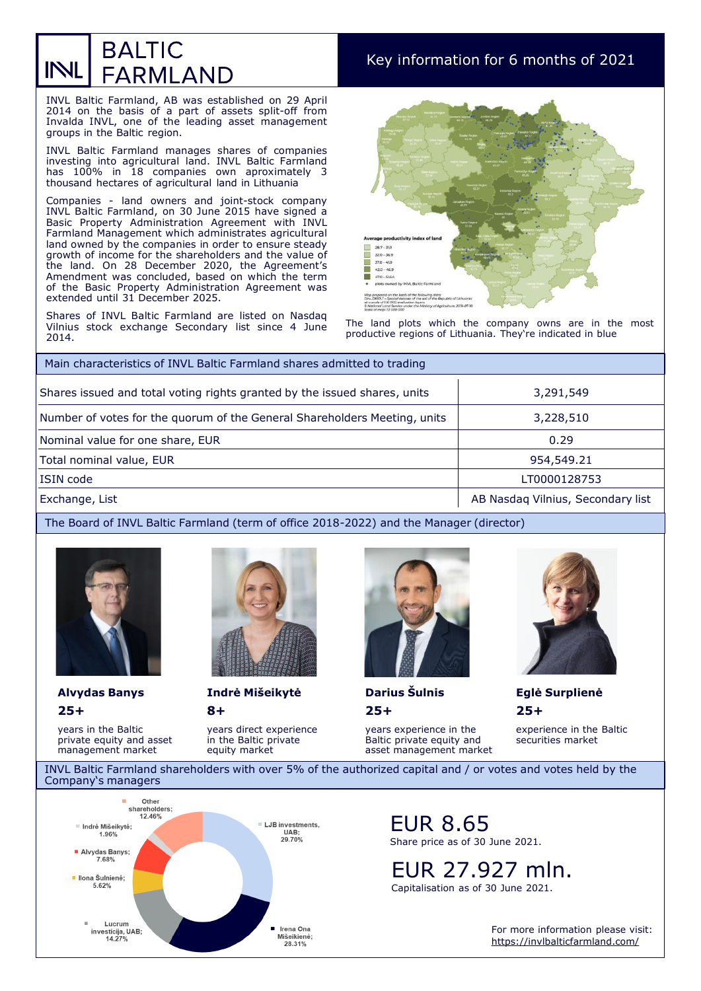## **BALTIC** INL **FARMLAND**

# Key information for 6 months of 2021

INVL Baltic Farmland, AB was established on 29 April 2014 on the basis of a part of assets split-off from Invalda INVL, one of the leading asset management groups in the Baltic region.

INVL Baltic Farmland manages shares of companies investing into agricultural land. INVL Baltic Farmland has 100% in 18 companies own aproximately 3 thousand hectares of agricultural land in Lithuania

Companies - land owners and joint-stock company INVL Baltic Farmland, on 30 June 2015 have signed a Basic Property Administration Agreement with INVL Farmland Management which administrates agricultural land owned by the companies in order to ensure steady growth of income for the shareholders and the value of the land. On 28 December 2020, the Agreement's Amendment was concluded, based on which the term of the Basic Property Administration Agreement was extended until 31 December 2025.

Shares of INVL Baltic Farmland are listed on Nasdaq Vilnius stock exchange Secondary list since 4 June 2014.



The land plots which the company owns are in the most productive regions of Lithuania. They're indicated in blue

| Main characteristics of INVL Baltic Farmland shares admitted to trading   |                                   |  |
|---------------------------------------------------------------------------|-----------------------------------|--|
| Shares issued and total voting rights granted by the issued shares, units | 3,291,549                         |  |
| Number of votes for the quorum of the General Shareholders Meeting, units | 3,228,510                         |  |
| Nominal value for one share, EUR                                          | 0.29                              |  |
| Total nominal value, EUR                                                  | 954,549.21                        |  |
| ISIN code                                                                 | LT0000128753                      |  |
| Exchange, List                                                            | AB Nasdag Vilnius, Secondary list |  |

#### The Board of INVL Baltic Farmland (term of office 2018-2022) and the Manager (director)



**25+** 

years in the Baltic private equity and asset management market



**8+ Alvydas Banys Indrė Mišeikytė Darius Šulnis Eglė Surplienė**

> years direct experience in the Baltic private equity market



**25+** 

years experience in the Baltic private equity and asset management market



**25+**  experience in the Baltic

securities market

INVL Baltic Farmland shareholders with over 5% of the authorized capital and / or votes and votes held by the Company's managers



### EUR 8.65 Share price as of 30 June 2021.

EUR 27.927 mln.

Capitalisation as of 30 June 2021.

For more information please visit: <https://invlbalticfarmland.com/>